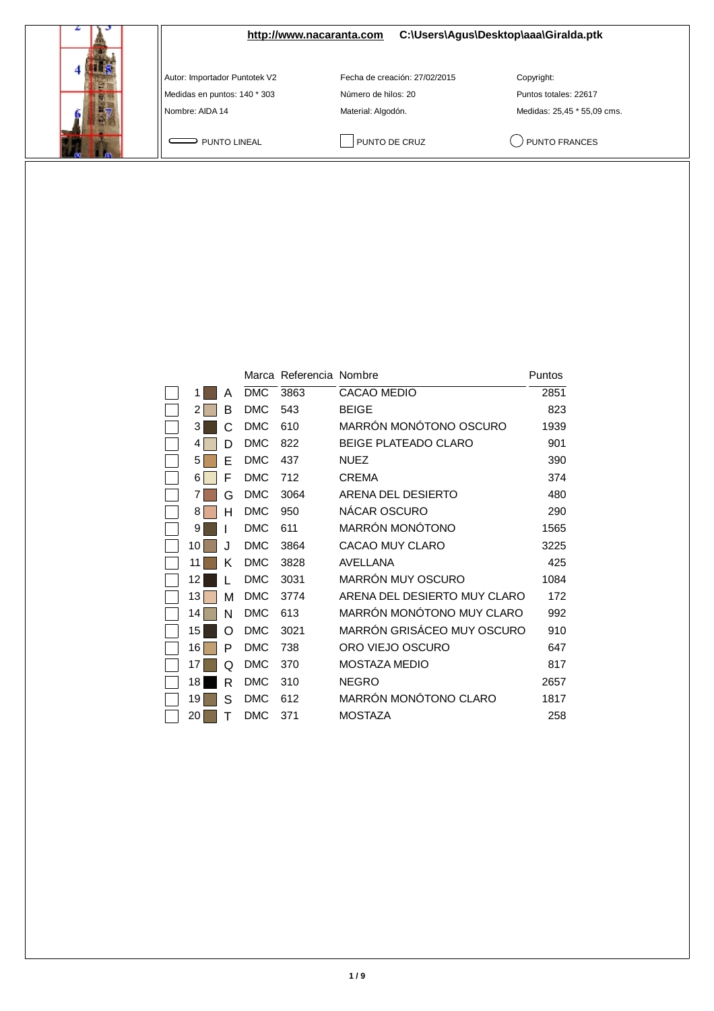|                               | http://www.nacaranta.com      | C:\Users\Agus\Desktop\aaa\Giralda.ptk |
|-------------------------------|-------------------------------|---------------------------------------|
| Autor: Importador Puntotek V2 | Fecha de creación: 27/02/2015 | Copyright:                            |
| Medidas en puntos: 140 * 303  | Número de hilos: 20           | Puntos totales: 22617                 |
| Nombre: AIDA 14               | Material: Algodón.            | Medidas: 25,45 * 55,09 cms.           |
| PUNTO LINEAL                  | PUNTO DE CRUZ                 | ) PUNTO FRANCES                       |

|    |   |            | Marca Referencia Nombre |                              | Puntos |
|----|---|------------|-------------------------|------------------------------|--------|
| 1  | A | <b>DMC</b> | 3863                    | CACAO MEDIO                  | 2851   |
| 2  | в | <b>DMC</b> | 543                     | <b>BEIGE</b>                 | 823    |
| 3  | C | <b>DMC</b> | 610                     | MARRÓN MONÓTONO OSCURO       | 1939   |
| 4  | D | <b>DMC</b> | 822                     | <b>BEIGE PLATEADO CLARO</b>  | 901    |
| 5  | E | <b>DMC</b> | 437                     | <b>NUEZ</b>                  | 390    |
| 6  | F | <b>DMC</b> | 712                     | <b>CREMA</b>                 | 374    |
| 7  | G | <b>DMC</b> | 3064                    | ARENA DEL DESIERTO           | 480    |
| 8  | н | <b>DMC</b> | 950                     | NACAR OSCURO                 | 290    |
| 9  |   | <b>DMC</b> | 611                     | MARRÓN MONÓTONO              | 1565   |
| 10 | J | <b>DMC</b> | 3864                    | CACAO MUY CLARO              | 3225   |
| 11 | κ | <b>DMC</b> | 3828                    | AVELLANA                     | 425    |
| 12 |   | <b>DMC</b> | 3031                    | MARRÓN MUY OSCURO            | 1084   |
| 13 | M | <b>DMC</b> | 3774                    | ARENA DEL DESIERTO MUY CLARO | 172    |
| 14 | N | <b>DMC</b> | 613                     | MARRÓN MONÓTONO MUY CLARO    | 992    |
| 15 | Ω | <b>DMC</b> | 3021                    | MARRÓN GRISÁCEO MUY OSCURO   | 910    |
| 16 | P | <b>DMC</b> | 738                     | ORO VIEJO OSCURO             | 647    |
| 17 | Q | <b>DMC</b> | 370                     | MOSTAZA MEDIO                | 817    |
| 18 | R | <b>DMC</b> | 310                     | <b>NEGRO</b>                 | 2657   |
| 19 | S | <b>DMC</b> | 612                     | MARRÓN MONÓTONO CLARO        | 1817   |
| 20 | т | <b>DMC</b> | 371                     | <b>MOSTAZA</b>               | 258    |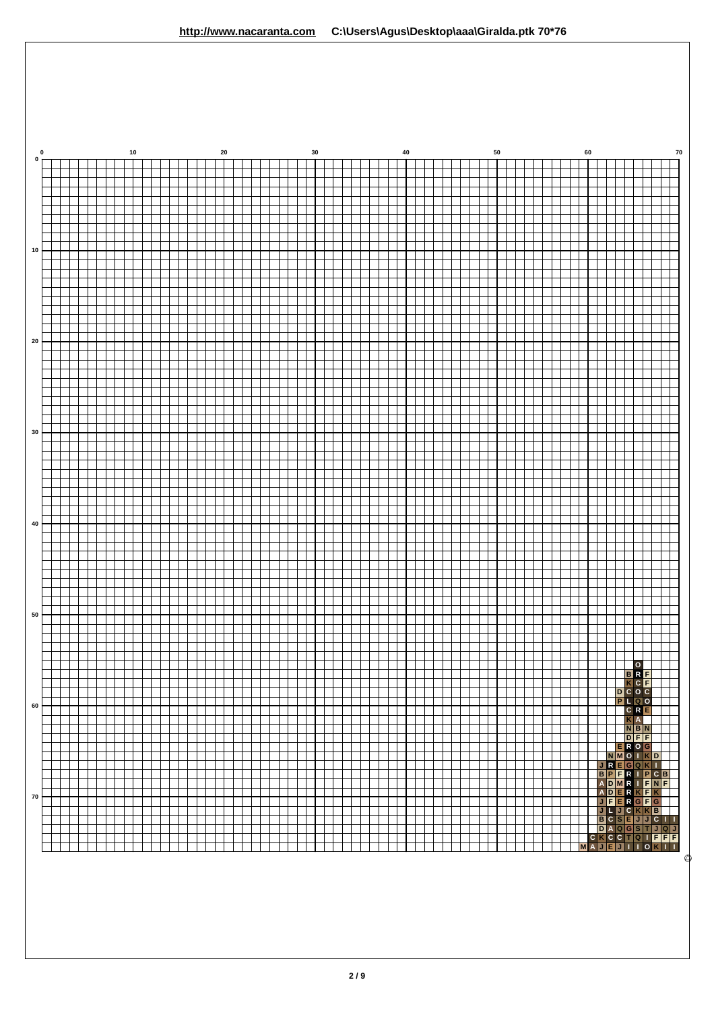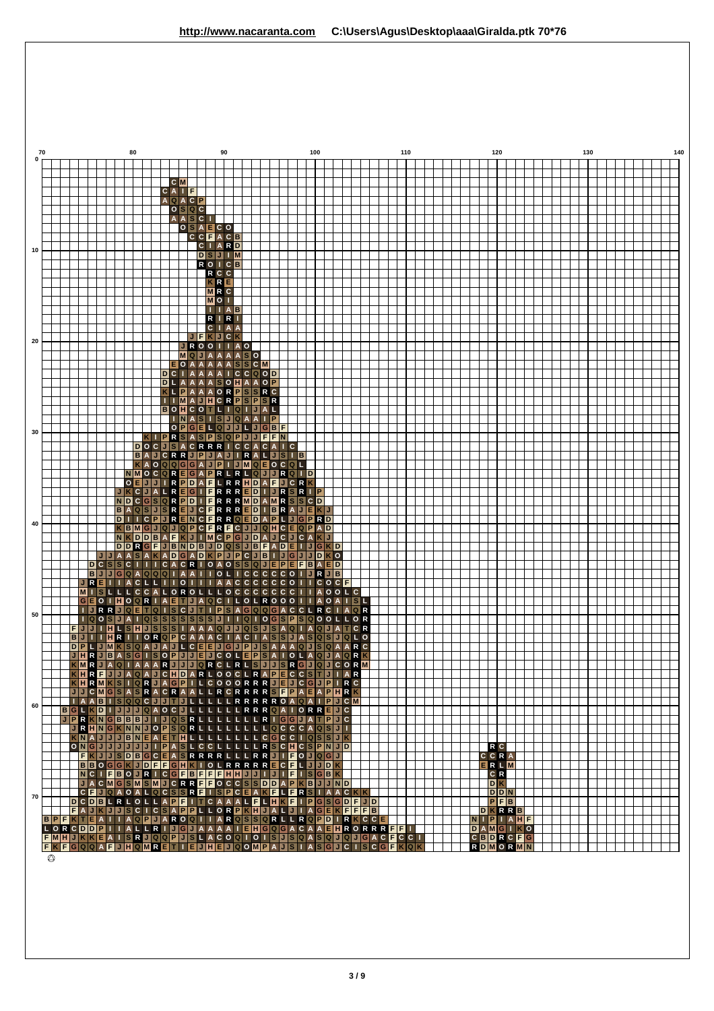|  |                                                                                                          |                  | 80                |                                                               |                     |                                                         |       |                                         | 90             |                   |                       |                       |                              |                      | 100     |            |              |       |                   | 110 |                |  |  |      | 120                 |                                        |  |  | 130 |  |  |
|--|----------------------------------------------------------------------------------------------------------|------------------|-------------------|---------------------------------------------------------------|---------------------|---------------------------------------------------------|-------|-----------------------------------------|----------------|-------------------|-----------------------|-----------------------|------------------------------|----------------------|---------|------------|--------------|-------|-------------------|-----|----------------|--|--|------|---------------------|----------------------------------------|--|--|-----|--|--|
|  |                                                                                                          |                  |                   |                                                               |                     |                                                         |       |                                         |                |                   |                       |                       |                              |                      |         |            |              |       |                   |     |                |  |  |      |                     |                                        |  |  |     |  |  |
|  |                                                                                                          |                  |                   |                                                               |                     | C M                                                     |       |                                         |                |                   |                       |                       |                              |                      |         |            |              |       |                   |     |                |  |  |      |                     |                                        |  |  |     |  |  |
|  |                                                                                                          |                  |                   |                                                               |                     | <b>CAIR</b><br>ACACP                                    |       |                                         |                |                   |                       |                       |                              |                      |         |            |              |       |                   |     |                |  |  |      |                     |                                        |  |  |     |  |  |
|  |                                                                                                          |                  |                   |                                                               |                     | O <sub>S</sub> <sup>C</sup><br><b>AASCI</b>             |       |                                         |                |                   |                       |                       |                              |                      |         |            |              |       |                   |     |                |  |  |      |                     |                                        |  |  |     |  |  |
|  |                                                                                                          |                  |                   |                                                               |                     |                                                         |       | 0 S A E C 0<br>CCFACB                   |                |                   |                       |                       |                              |                      |         |            |              |       |                   |     |                |  |  |      |                     |                                        |  |  |     |  |  |
|  |                                                                                                          |                  |                   |                                                               |                     |                                                         |       | CIARD<br><b>DSJIM</b>                   |                |                   |                       |                       |                              |                      |         |            |              |       |                   |     |                |  |  |      |                     |                                        |  |  |     |  |  |
|  |                                                                                                          |                  |                   |                                                               |                     |                                                         |       | $R$ o i c $B$                           |                |                   |                       |                       |                              |                      |         |            |              |       |                   |     |                |  |  |      |                     |                                        |  |  |     |  |  |
|  |                                                                                                          |                  |                   |                                                               |                     |                                                         |       | R C C<br>KRE                            |                |                   |                       |                       |                              |                      |         |            |              |       |                   |     |                |  |  |      |                     |                                        |  |  |     |  |  |
|  |                                                                                                          |                  |                   |                                                               |                     |                                                         |       | <b>MRC</b><br><b>MOI</b>                |                |                   |                       |                       |                              |                      |         |            |              |       |                   |     |                |  |  |      |                     |                                        |  |  |     |  |  |
|  |                                                                                                          |                  |                   |                                                               |                     |                                                         |       | $I$ $I$ $A$ $B$<br>$R$   R              |                |                   |                       |                       |                              |                      |         |            |              |       |                   |     |                |  |  |      |                     |                                        |  |  |     |  |  |
|  |                                                                                                          |                  |                   |                                                               |                     |                                                         |       | CIAA<br><b>JFKJCK</b>                   |                |                   |                       |                       |                              |                      |         |            |              |       |                   |     |                |  |  |      |                     |                                        |  |  |     |  |  |
|  |                                                                                                          |                  |                   |                                                               |                     |                                                         |       | <b>IROOIIAO</b><br><b>MQJAAAASO</b>     |                |                   |                       |                       |                              |                      |         |            |              |       |                   |     |                |  |  |      |                     |                                        |  |  |     |  |  |
|  |                                                                                                          |                  |                   |                                                               | Е                   |                                                         |       | O A A A A A S S C M                     |                |                   |                       |                       |                              |                      |         |            |              |       |                   |     |                |  |  |      |                     |                                        |  |  |     |  |  |
|  |                                                                                                          |                  |                   |                                                               | D<br>D              | C <sub>1</sub><br>LAAAASOHAAOP                          | A A A |                                         | <b>AICCQOD</b> |                   |                       |                       |                              |                      |         |            |              |       |                   |     |                |  |  |      |                     |                                        |  |  |     |  |  |
|  |                                                                                                          |                  |                   |                                                               | L<br>$\blacksquare$ | Р                                                       |       | <b>AAAORPSSRC</b><br><b>MAJHCRPSPSR</b> |                |                   |                       |                       |                              |                      |         |            |              |       |                   |     |                |  |  |      |                     |                                        |  |  |     |  |  |
|  |                                                                                                          |                  |                   |                                                               | п                   | <b>BOHCOTLIQIUAL</b>                                    |       | NASISJQAAIP                             |                |                   |                       |                       |                              |                      |         |            |              |       |                   |     |                |  |  |      |                     |                                        |  |  |     |  |  |
|  |                                                                                                          |                  |                   | IK I                                                          | P                   | OPGELQJJLJGBF<br>$R S  A  S  P  S  Q  P  J  J  F  F  N$ |       |                                         |                |                   |                       |                       |                              |                      |         |            |              |       |                   |     |                |  |  |      |                     |                                        |  |  |     |  |  |
|  |                                                                                                          |                  | D                 | o c                                                           |                     | <b>JSACRRRIC</b>                                        |       |                                         |                | C A               | <b>C</b>              | $\mathbf{A}$          | $\mathsf{I} \mid \mathsf{C}$ |                      |         |            |              |       |                   |     |                |  |  |      |                     |                                        |  |  |     |  |  |
|  |                                                                                                          |                  |                   | <b>BAJCRRJPJAJIRALJSIB</b><br>$K$ $A$ $O$ $Q$ $Q$ $G$ $G$ $A$ |                     |                                                         |       | J P                                     |                | IJMQEOCQL         |                       |                       |                              |                      |         |            |              |       |                   |     |                |  |  |      |                     |                                        |  |  |     |  |  |
|  |                                                                                                          |                  |                   | NMOCQREGAPRLRLQJJRQID<br>OEUJIRPDAFLRRHDAF                    |                     |                                                         |       |                                         |                |                   |                       |                       | JCRK                         |                      |         |            |              |       |                   |     |                |  |  |      |                     |                                        |  |  |     |  |  |
|  |                                                                                                          | JK               |                   | CIALRE<br>NDCGSQRPD                                           |                     |                                                         |       | GIERRRED<br><b>FRRRMDAM</b>             |                |                   |                       | <b>IJRSRI</b>         | R                            | s s c d              | IP      |            |              |       |                   |     |                |  |  |      |                     |                                        |  |  |     |  |  |
|  |                                                                                                          | $\overline{D}$   |                   | BAQSJSREJCFRRREDIBRAJEKJ<br><b>IICPJ</b>                      |                     | <b>RENCFRRQEDAP</b>                                     |       |                                         |                |                   |                       |                       | L.                           | <b>JGPRD</b>         |         |            |              |       |                   |     |                |  |  |      |                     |                                        |  |  |     |  |  |
|  |                                                                                                          |                  |                   | KBMGJQJQPCFRF                                                 |                     |                                                         |       |                                         |                | <b>CJJQH</b>      |                       |                       | c.<br>Е.                     | $Q$ $P$              |         | AD.        |              |       |                   |     |                |  |  |      |                     |                                        |  |  |     |  |  |
|  |                                                                                                          |                  |                   | NKDDBA<br>DDRGFJBNDBJDQSJBF                                   |                     | $F K J   M C P G J D $                                  |       |                                         |                |                   | A                     | J<br>AD.              | $\mathbf{c}$<br>J<br>ΙE      |                      | CAKU    | <b>GKD</b> |              |       |                   |     |                |  |  |      |                     |                                        |  |  |     |  |  |
|  | D C S S                                                                                                  | JJAASAKADGADKPJP | $ {\bf c} $<br>П  | т                                                             |                     | CACRI                                                   |       | 0 <br>$\Delta$                          | $\circ$        | <sub>S</sub><br>s | $C$ J $B$<br>lQ.<br>J | T.<br>Е               | J<br>P<br>ΙE                 | <b>GJJDKO</b><br>F B |         | <b>AED</b> |              |       |                   |     |                |  |  |      |                     |                                        |  |  |     |  |  |
|  | B J J G Q<br>JRE                                                                                         |                  | $\mathbf{A}$<br>с | Q Q                                                           | Q                   | о                                                       |       | $\mathbf{o}$                            |                | С<br>C.<br>С      | c<br>c<br>С<br>с      |                       | $\circ$<br>o                 |                      |         | $R$ J $B$  | $C$ o $C$ if |       |                   |     |                |  |  |      |                     |                                        |  |  |     |  |  |
|  | MISLLLCCALOROLLLOCCCCCCII<br>GEOIHOQRIAETJAQCILOLROOOIIAOAISL                                            |                  |                   |                                                               |                     |                                                         |       |                                         |                |                   |                       |                       |                              |                      |         |            |              | AOOLC |                   |     |                |  |  |      |                     |                                        |  |  |     |  |  |
|  | IJRRJQETQISCJTIPSAGQQGACCLRCIAQR<br>1005JAI0SSSSSSSJII0GSPSQOOLLOR                                       |                  |                   |                                                               |                     |                                                         |       |                                         |                |                   |                       |                       |                              |                      |         |            |              |       |                   |     |                |  |  |      |                     |                                        |  |  |     |  |  |
|  | FJJIHLSHJSSSIAAAQJJQSJSAQIAQJATCR                                                                        |                  |                   |                                                               |                     |                                                         |       |                                         |                |                   |                       |                       |                              |                      |         |            |              |       |                   |     |                |  |  |      |                     |                                        |  |  |     |  |  |
|  | BJIIHRIIORQPCAAACIACIASSJASQSJQLO<br>DPLJMKSQAJAJLCEEJGJPJSAAAQJSQAARC                                   |                  |                   |                                                               |                     |                                                         |       |                                         |                |                   |                       |                       |                              |                      |         |            |              |       |                   |     |                |  |  |      |                     |                                        |  |  |     |  |  |
|  | JHRJBASGISOPJJEJCOLEPSAIOLAQJAQRK<br>KMRJAQIAAARJJJQRCLRLSJJSRGJQJCORM                                   |                  |                   |                                                               |                     |                                                         |       |                                         |                |                   |                       |                       |                              |                      |         |            |              |       |                   |     |                |  |  |      |                     |                                        |  |  |     |  |  |
|  | KHRFJJAQAJCHDARLOOCLRAPECCSTJIAR<br>KHRMKSIQRJAGPILCOOORRRJEJCGJPIRC                                     |                  |                   |                                                               |                     |                                                         |       |                                         |                |                   |                       |                       |                              |                      |         |            |              |       |                   |     |                |  |  |      |                     |                                        |  |  |     |  |  |
|  | JJCMGSASRACRAALLRCRRRRSEPAEAPHRK<br>IAABISQQCJJTJLLLLLRRRRROAQAIPJCM                                     |                  |                   |                                                               |                     |                                                         |       |                                         |                |                   |                       |                       |                              |                      |         |            |              |       |                   |     |                |  |  |      |                     |                                        |  |  |     |  |  |
|  | <b>BGLKDIJJJQAOCJLLLLLRRRQAIORREJC</b><br>JPRKNGBBBJIJQSRLLLLLLLRIGGJATPJC                               |                  |                   |                                                               |                     |                                                         |       |                                         |                |                   |                       |                       |                              |                      |         |            |              |       |                   |     |                |  |  |      |                     |                                        |  |  |     |  |  |
|  | JRHNGKNNJOPSQRLLLLLLLLQCCCAQSJI                                                                          |                  |                   |                                                               |                     |                                                         |       |                                         |                |                   |                       |                       |                              |                      |         |            |              |       |                   |     |                |  |  |      |                     |                                        |  |  |     |  |  |
|  | KNAJJJBNEAETHLLLLLLL<br>ONGJJJJJJJJIPASLCCLLLLLRSCHCSPNJD                                                |                  |                   |                                                               |                     |                                                         |       |                                         |                |                   |                       | $C G C C 1 Q S S J K$ |                              |                      |         |            |              |       |                   |     |                |  |  |      | R <sub>C</sub>      |                                        |  |  |     |  |  |
|  | FKJJSDBGCEASRRRRLLLRRJIFOJQGJ<br>BBOGGKJDFFGHKIOLRRRRECF                                                 |                  |                   |                                                               |                     |                                                         |       |                                         |                |                   |                       |                       |                              |                      | LJJDK   |            |              |       |                   |     |                |  |  | CCRA | ERLM                |                                        |  |  |     |  |  |
|  | NCIFBOJRICGFBFFFHHJJJIJ<br>JACMGSMSMJCRRFFOCCSSDDAPKBJJND                                                |                  |                   |                                                               |                     |                                                         |       |                                         |                |                   |                       |                       | F<br>П                       |                      | S G B K |            |              |       |                   |     |                |  |  |      | C R<br>DK           |                                        |  |  |     |  |  |
|  | CFJQAOALQCSSRFISPCEAKFLFRSIAACKK<br>DCDBLRLOLLAPEITCAAALFLHKFIPGSGDFJD                                   |                  |                   |                                                               |                     |                                                         |       |                                         |                |                   |                       |                       |                              |                      |         |            |              |       |                   |     |                |  |  |      | <b>DDN</b><br>P F B |                                        |  |  |     |  |  |
|  | FAJKUJSCI CSAPPLLORPKHJALJ                                                                               |                  |                   |                                                               |                     |                                                         |       |                                         |                |                   |                       |                       |                              |                      |         |            |              |       | I A G E K F F F B |     |                |  |  |      |                     | DKRRB                                  |  |  |     |  |  |
|  | BPFKTEAIIIAQPJAROQIIIARQSQRLLRQPDIRKCCE<br>LORCDDPIIIALLRIJGJAAAAIEHGQGACAAEHRORRRFF                     |                  |                   |                                                               |                     |                                                         |       |                                         |                |                   |                       |                       |                              |                      |         |            |              |       |                   |     | $\blacksquare$ |  |  |      |                     | NIPIAHF<br>$D$ $A$ $M$ $G$ $I$ $K$ $O$ |  |  |     |  |  |
|  | FMHJKKEAISRJQQPJSLACOQIOISJSQASQJQJGACFCCI<br>FKFGQQQAFJHQMRETIEJHEJQOMPAJSIASGJCISCG <mark>FK</mark> QK |                  |                   |                                                               |                     |                                                         |       |                                         |                |                   |                       |                       |                              |                      |         |            |              |       |                   |     |                |  |  |      |                     | <b>CBDRCFG</b><br>RDMORMN              |  |  |     |  |  |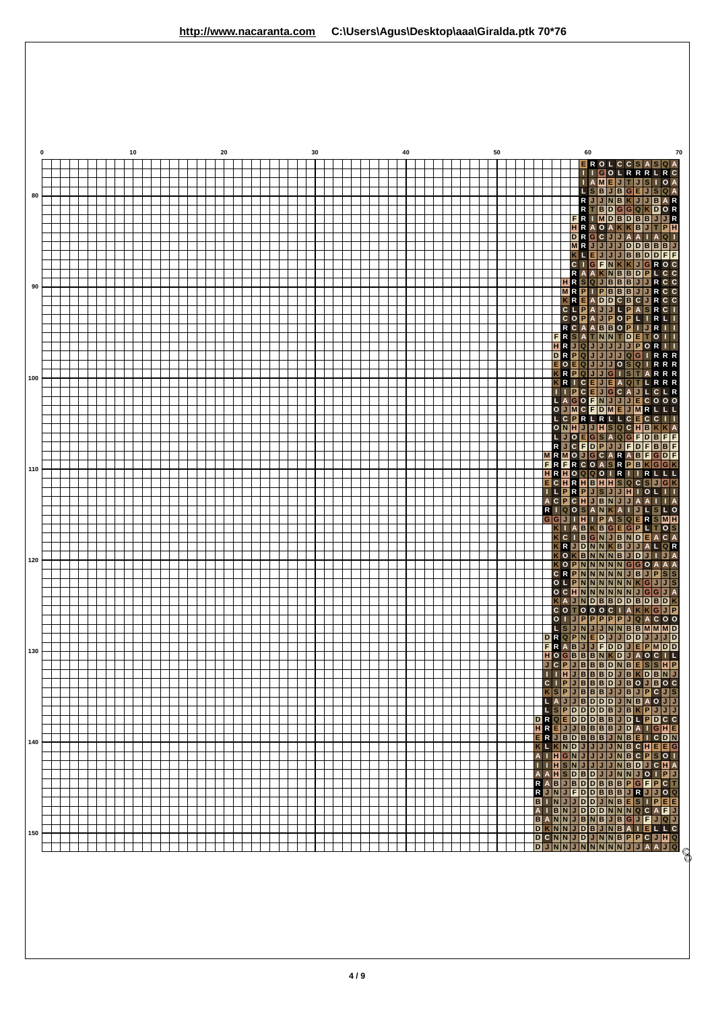|     | $\mathbf{0}$ |  |  | 10 |  | 20 |  |  | 30 |  | 40 |  |  | 50 |        |           | 60 |                                                                                                                                                                                                                                                               |               | 70             |
|-----|--------------|--|--|----|--|----|--|--|----|--|----|--|--|----|--------|-----------|----|---------------------------------------------------------------------------------------------------------------------------------------------------------------------------------------------------------------------------------------------------------------|---------------|----------------|
| 80  |              |  |  |    |  |    |  |  |    |  |    |  |  |    |        |           |    | EROLCCSASQA<br><b>ICOLRRRLRC</b><br><b>AMEJTJSIOA</b><br>$\lfloor \frac{s}{B} \rfloor$ $\lfloor \frac{s}{c} \rfloor$ $\lfloor \frac{s}{c} \rfloor$ $\lfloor \frac{s}{c} \rfloor$ $\lfloor \frac{s}{c} \rfloor$<br><b>RJJNBKJJBAR</b><br>R T B D G G Q K D O R |               |                |
|     |              |  |  |    |  |    |  |  |    |  |    |  |  |    |        |           |    | $F R I M D B D B J J R$<br>HRAOAKKBJTPH<br>DRGCJJAAIAQI<br>M R J J J J D D B B B J<br>$K$ $F$ $F$ $J$ $J$ $J$ $B$ $B$ $D$ $D$ $F$ $F$<br>$C   I   G   F   N   K   K   J   G   R O   C$                                                                        |               |                |
| 90  |              |  |  |    |  |    |  |  |    |  |    |  |  |    |        | <b>KR</b> |    | RAAKNBBDPLCC<br>$H$ RSQJBBBJJRCC<br>MRPIPBBBJJRCC<br><b>EADDCBCJRCC</b><br>CLPAJJLP<br>COPAJPOPLIRLI                                                                                                                                                          | <b>ASRCI</b>  |                |
|     |              |  |  |    |  |    |  |  |    |  |    |  |  |    |        | F<br>н    |    | RCAABBOPIJ<br>RSATNNTDETOII<br>RJQJJJJJPORII<br>$E$ O $E$ QJJJJOSQIRRR                                                                                                                                                                                        | $R$   $\perp$ |                |
| 100 |              |  |  |    |  |    |  |  |    |  |    |  |  |    |        |           |    | KRPQJJGISTARRR<br><b>RICEJEAQTLRRR</b><br>IIPCEJGCAJLCLR<br>LAGOFNJUJECOOO<br>OJMCFDMEJMRLLL<br>CPRLRLLCECCII                                                                                                                                                 |               |                |
| 110 |              |  |  |    |  |    |  |  |    |  |    |  |  |    | M<br>H |           |    | $O N H J J H S Q C H B K K A$<br>$LJOEGSAQGFDBFF$<br>RJCFDPJJFDFBBF<br>R M O J G C A R A B F G D F<br>FRFRCOASRPBKGGK<br>RHOQQOIRIIRLLL                                                                                                                       |               |                |
|     |              |  |  |    |  |    |  |  |    |  |    |  |  |    | E      |           |    | $C$ H $R$ H $B$ H $H$ SQCSJGK<br><b>TLPRPJSJJHIOLII</b><br>ACPCHJBNJJAA<br>RIQOSANKAIULSLO<br>$G$ $G$ $J$ $I$ $H$ $I$ $P$ $A$ $S$ $Q$ $E$ $R$ $S$ $M$ $H$<br>K I A B K B G E G PLI T O S                                                                      |               | $\overline{A}$ |
| 120 |              |  |  |    |  |    |  |  |    |  |    |  |  |    |        |           |    | KCIBGNJBNDEACA<br>KRJDNNKBJJALQR<br>KOKBNNNBJDJI<br>KOPNNNNNGGOAAA<br>$CR$ $P N N N N J B J P S S$<br>$OL$ PNNNNNNNKGJJS                                                                                                                                      |               | <b>JA</b>      |
|     |              |  |  |    |  |    |  |  |    |  |    |  |  |    |        |           |    | OCHNNNNNNJGGJA<br>$K$ $ A$ $ J$ $ N$ $ D B B D D B D B D K$<br>COTOOOCIAKKGJP<br>$01J$ $P$ $P$ $P$ $P$ $I$ $J$ $Q$ $A$ $C$ $O$ $O$<br>$\boxed{L}$ S J N J J N N B B M M M D                                                                                   |               |                |
| 130 |              |  |  |    |  |    |  |  |    |  |    |  |  |    |        |           |    | $D R Q  P  N  E  D  J  J  D  D  J  J  J  D$<br>$F R A B J J F D D J E P M D D$<br>HOGBBBNKDJAOCIL<br>JCPJBBBDNBESSHP<br>IIHJBBBDJBKDBNJ<br>$C I P J B B B D J B O J B O C$                                                                                    |               |                |
|     |              |  |  |    |  |    |  |  |    |  |    |  |  |    |        |           |    | $K$ SPJBBBJJBJPCJS<br>LAJJBDDDJNBAOJJ<br>$I S P D D D D B J B K P J J J$<br>DRQEDDDBBJDLPDCC<br>HREJJBBBBJDAIGHE<br>$E$ $R$ J $B$ $D$ $B$ $B$ $B$ $J$ $N$ $B$ $E$ $I$ $C$ $D$ $N$                                                                             |               |                |
| 140 |              |  |  |    |  |    |  |  |    |  |    |  |  |    |        |           |    | $K$ $K$ $N$ $D$ $J$ $J$ $J$ $N$ $B$ $C$ $H$ $E$ $E$ $G$<br>AIHGNJJJJNBCPSOI<br>$I$ $I$ $H$ $S$ $N$ $J$ $J$ $J$ $J$ $N$ $B$ $D$ $J$ $C$ $H$ $A$<br>$A$ $A$ $H$ $S$ $D$ $B$ $D$ $J$ $J$ $N$ $N$ $J$ $O$ $I$ $P$ $J$<br>RABJBDDBBBPGFPCT<br>RJNJFDDBBBJRJJOQ     |               |                |
| 150 |              |  |  |    |  |    |  |  |    |  |    |  |  |    |        |           |    | $B$ $N$ $J$ $J$ $D$ $D$ $J$ $N$ $B$ $E$ $S$ $I$ $P$ $E$ $E$<br>AIBNJDDDNNNQCAFJ<br>$B$ A N N J $B$ N $B$ J $B$ G J $F$ J Q J<br>DKNNJDBJNBAIELLC<br>DCNNJDJNNBPPCJHQ<br>D J N N J N N N N N J J A A J Q                                                       |               |                |
|     |              |  |  |    |  |    |  |  |    |  |    |  |  |    |        |           |    |                                                                                                                                                                                                                                                               |               |                |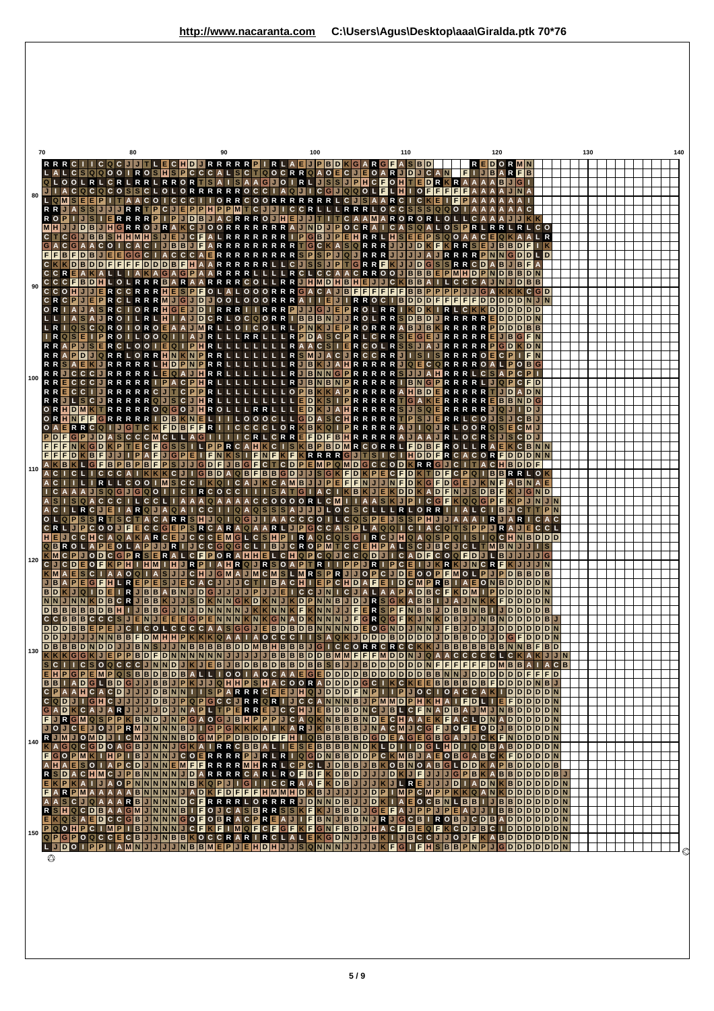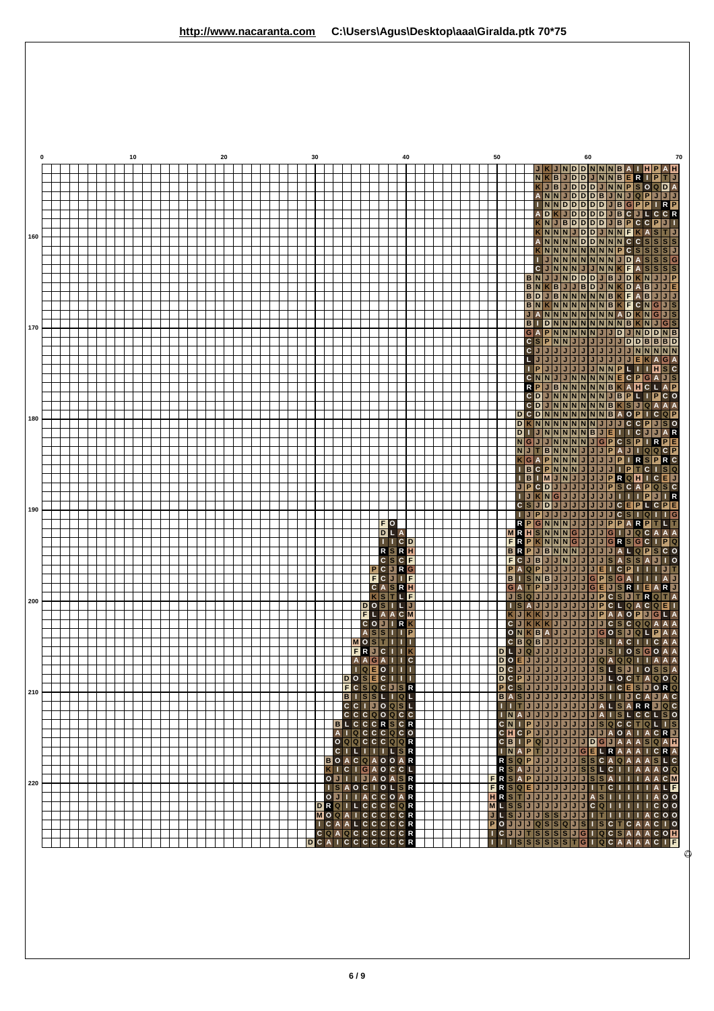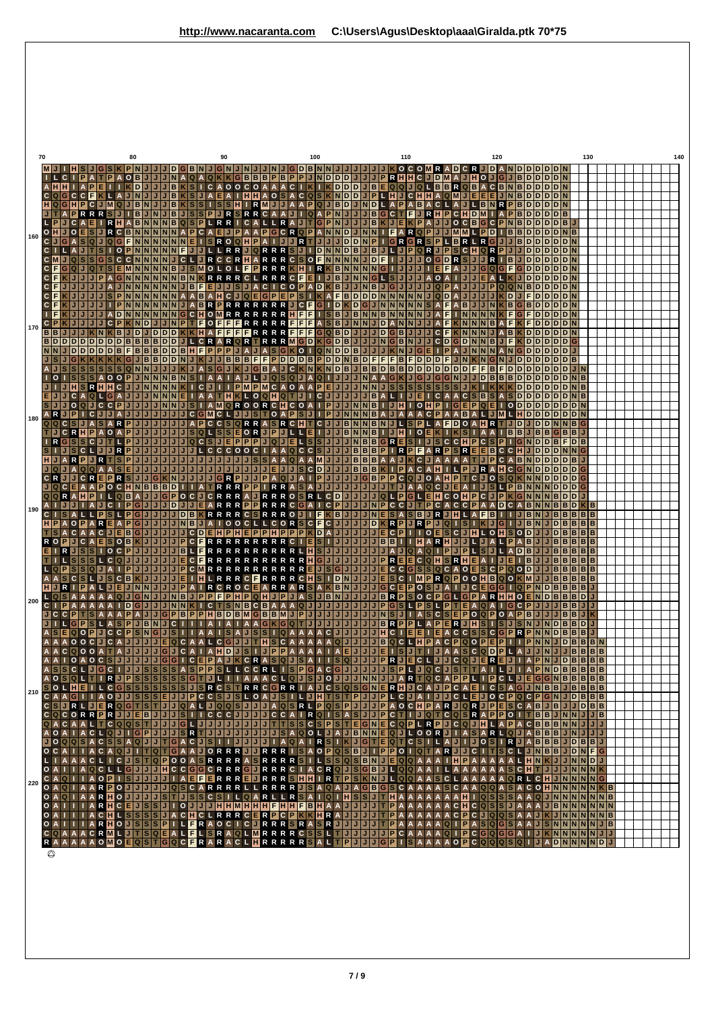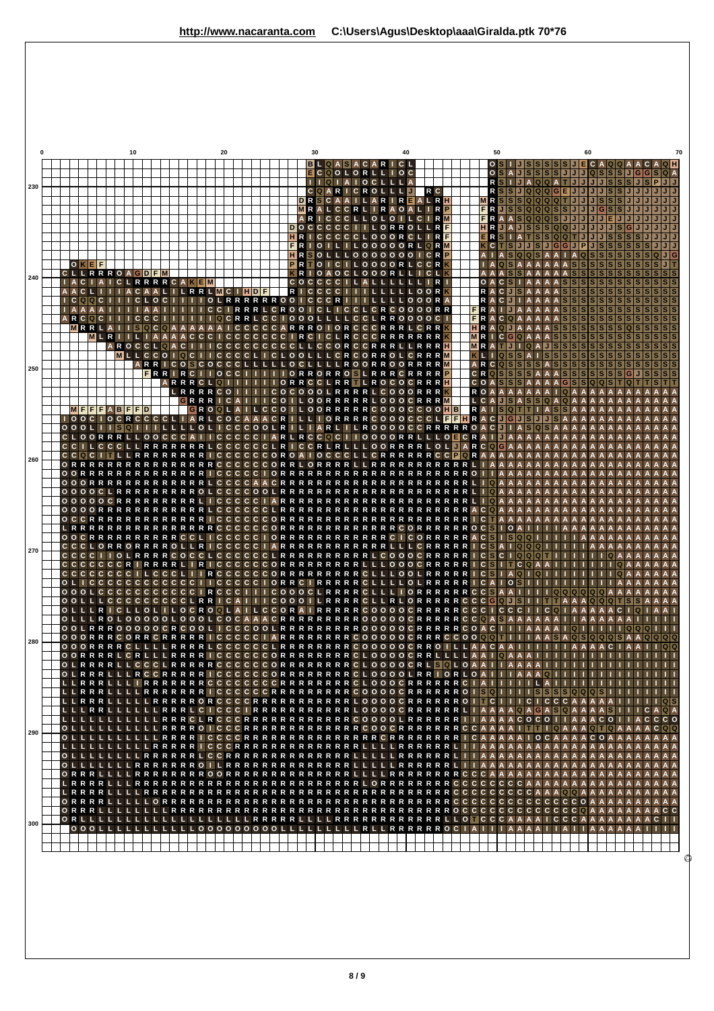|     |  |                                                                                                                                                                                                                                                                                                                                                                                                                                                                                                                                                                                                                              |           |                                 |    |                       |                                  | 10                     |   |              |        |     |                       |                       |     |                     | 20                                          |                                                                    |                                 |                  |             |                              |                   |                                                      |                                        |                          | 30                |                                                           |     |     |                                                                          |                  |                           | <b>BLQASACARICL</b><br><b>COOLORLLIOC</b><br><b>QIAIOCLLLA</b>                                                                   |                                  |                                                               | 40                      |                                   |                                   |                  |                                                      |                  |                              |                      |                                         |                        | 50<br>$\overline{\text{o}}$ is<br>$\circ$<br>R S I | <b>SA</b>       |                                  | J            |                                            | JAQQAT                       |                    |                  |                        |                         | 60          |                                |                                                           |     |        |         | J J S S S J S P | JSSSSSJECAQQAACAQH<br>$S S S S J J J Q S S S J G G S Q A$                                                         | 70               |
|-----|--|------------------------------------------------------------------------------------------------------------------------------------------------------------------------------------------------------------------------------------------------------------------------------------------------------------------------------------------------------------------------------------------------------------------------------------------------------------------------------------------------------------------------------------------------------------------------------------------------------------------------------|-----------|---------------------------------|----|-----------------------|----------------------------------|------------------------|---|--------------|--------|-----|-----------------------|-----------------------|-----|---------------------|---------------------------------------------|--------------------------------------------------------------------|---------------------------------|------------------|-------------|------------------------------|-------------------|------------------------------------------------------|----------------------------------------|--------------------------|-------------------|-----------------------------------------------------------|-----|-----|--------------------------------------------------------------------------|------------------|---------------------------|----------------------------------------------------------------------------------------------------------------------------------|----------------------------------|---------------------------------------------------------------|-------------------------|-----------------------------------|-----------------------------------|------------------|------------------------------------------------------|------------------|------------------------------|----------------------|-----------------------------------------|------------------------|----------------------------------------------------|-----------------|----------------------------------|--------------|--------------------------------------------|------------------------------|--------------------|------------------|------------------------|-------------------------|-------------|--------------------------------|-----------------------------------------------------------|-----|--------|---------|-----------------|-------------------------------------------------------------------------------------------------------------------|------------------|
| 230 |  |                                                                                                                                                                                                                                                                                                                                                                                                                                                                                                                                                                                                                              |           |                                 |    |                       |                                  |                        |   |              |        |     |                       |                       |     |                     |                                             |                                                                    |                                 |                  |             |                              |                   |                                                      |                                        | D<br>$\circ$ c<br>R      | $R$   0           | <b>RSCAA</b><br><b>ARICCC</b><br><b>CCCC</b><br>$\circ$   | IC. | C.  | C.                                                                       |                  | T L<br>L L.<br>CL         | <b>COARICROLLL</b><br><b>ARIR</b><br><b>MRALCCRLIRAOALIRP</b><br><b>OLOILCIRM</b><br><b>OOORCLI</b><br>00000RLQRM<br>00000001CRP | $\circ$                          | <b>RRO</b>                                                    |                         | $\mathsf{J}$                      |                                   | RC               | EALRH<br>LLRE<br>$\mathsf{R}$                        |                  |                              |                      |                                         | <b>MR</b><br>E<br>I GI | $R[S S J Q Q Q G E]$<br>RJ S S <br>R               |                 | s s s <br>lS.<br>A<br>T S J      | Q <br>Q<br>J | 1Q 1Q<br>Q<br>$\Omega$<br>s<br>s<br>s<br>s | lo.<br>Q<br>Q<br>s<br>s<br>J | l O<br>s<br>s<br>G | ١S<br>ାହାହ       | IJ<br> Q Q T<br> G J P | J/J<br>J<br>J<br>J<br>Q | J<br>lS.    | J/J<br>J G<br>IJ<br> J J <br>s | lS.<br>$J\vert S\vert S$<br>s<br>lS.<br>$J\vert S\vert S$ | ls. |        | S S S S |                 | J/J/J/J/J<br>J/J/J/J<br>J/J<br>J/J/J<br>IJJ                                                                       | J/J              |
| 240 |  | OKEF<br><b>CLLRRROAGDFM</b><br>C.<br><b>IAAA</b><br>ARCOC                                                                                                                                                                                                                                                                                                                                                                                                                                                                                                                                                                    | C.<br>Q Q |                                 |    |                       | CLRRRRCAKEM                      | c<br>c                 | С |              |        |     |                       |                       | o   | ILRRLM              | C.<br>Q                                     | C <sub>1</sub><br>R<br>R<br>C.                                     | R<br>R<br>R<br>R<br>R           | IH D.<br>R<br>R  | R           | c                            |                   | P<br>R O O<br>R                                      | $c \circ c$<br>R<br>001                | R<br>R I                 | C.<br>000L        | $\circ$<br>IO A<br><b>CC</b><br>c c c<br>C L              |     | C.  | O C L<br>C.                                                              | C L<br>C.        | $\circ$<br>C.             | $^{\circ}$<br>OOORL<br>c                                                                                                         | R                                | $\circ$<br>C<br>R R O                                         | $\circ$                 |                                   | 000C                              | C                | RLCCRK<br>R <sub>1</sub><br>OORK<br>OORA<br>OOORR    |                  |                              |                      | F<br>F                                  | $\circ$<br>IR.         |                                                    |                 |                                  |              |                                            |                              |                    | s                | s<br>s<br>s<br>s<br>s  | s<br>s<br>s             | s<br>s<br>s | s<br>s                         | s                                                         |     |        |         |                 | $s$ <sub>is</sub><br>$s$ <sub>is</sub>                                                                            | $s$ <sub>s</sub> |
| 250 |  | <b>MRRLAI</b>                                                                                                                                                                                                                                                                                                                                                                                                                                                                                                                                                                                                                |           | <b>MLRII</b>                    |    |                       | AROCCLOAC<br>MLLCCOI             | s<br><b>ARRICOSCOC</b> | Q | c<br>FIR R I | ARRRCL | lQ. | A C C<br>I C I<br>R C |                       | C.  | С<br><b>RRRRC</b>   | C.<br>o<br>Q                                | C.<br>С<br>c.<br>$\circ$                                           | c<br>c<br>c<br>c<br>c<br>c      | С<br>с<br>С      | С           | С<br>c <sub>c</sub><br>С     | с<br>C.           | C.<br>С<br>Ω<br>О<br>R<br>$\circ$ $\circ$            | <b>RRR</b><br>С<br>0 <sub>o</sub><br>o | C.<br>G,<br>R            | R<br>C.           | ORRO<br>CLRR                                              |     | LLR | <b>OIORCCC</b><br>R C I C L R C C C<br>CCORCC<br>LCRC<br><b>OOOLRRRR</b> |                  | OR.<br>0 0 R              | <b>RRRL</b><br>R<br>R                                                                                                            | R<br>R<br>$\circ$<br>c.          | RRRLCRR<br><b>RRRRRRK</b><br>$\circ$<br>R O O<br>C<br>OOORRRK | $\circ$                 |                                   |                                   |                  | LRRRH<br>CRRRM<br><b>RRRRM</b><br>RRRRP<br>CRRRI     |                  |                              |                      | н<br>M<br>MR<br>AR<br>C R<br>c o<br>R O |                        | C.                                                 | C.<br>ΙQΙ<br>sı | GI<br>S<br>s.<br>s  <br>IS.<br>s | Q<br>Q       |                                            | s                            | s<br>s             | s<br>s<br>s<br>s | s<br>s<br>s<br>s       | <b>s</b><br>۱s          | s<br> s     | s<br>lS.                       | s.<br>S.                                                  | s   | ISIS I | s.      | s.<br>s         | $s$ <sub>is</sub><br> S S<br> S S<br> S S                                                                         |                  |
| 260 |  | MF<br>IOOCIOCRCCCCL<br>000LIISQ<br>C C<br>C C Q<br>ORRRRRRR<br>O O R R R R R R R R R R<br><b>OOORRRRRRRR</b><br>00000                                                                                                                                                                                                                                                                                                                                                                                                                                                                                                        | OORRRLL   | F.<br>c                         |    |                       | $F$ $A$ $B$ $F$ $F$ $D$<br>LRRRR | R                      | R | 00C          |        | I C |                       | RRR<br>ARL<br>$\circ$ | R O | С                   | Q<br>C.<br>$\circ$<br>c<br>C.               | C.<br>С<br>с<br>c.<br>С<br>C.<br>c<br>C.                           | c<br>c                          | С                | 00L<br>o    | С<br>о<br>o<br>о             | С                 | o<br>o<br>R<br>R<br>R<br>R<br>R<br>R<br>R<br>R<br>R  | $\circ$<br>R<br>R                      |                          | O<br>R<br>R       | IARL<br>RCCOCI<br>CCRLRL<br>$\circ$ c<br><b>RRRR</b><br>R | R   | C C | ORRRRRL<br>ORRRRLL                                                       | R.<br>R          | R                         | OORRRRRCOOOCCOOHE<br>ORRRRCOOO<br>I L R O O O O C C R R R R R<br>OOOORRL<br>OORR<br>c<br>R<br><b>RRRRRRRRRRRR</b><br>R R<br>R    | $\mathbf{o}$<br>R<br>R<br>R<br>R | OOCRRRM<br>R<br>R R<br>R R<br>R                               | R<br>R                  | R<br>R<br>R                       | R L<br>R<br>R                     | R<br>R           | O <sub>L</sub><br>RRRCCP<br><b>RRR</b><br><b>RRR</b> | 0 E              | IC C C L F F H<br>JARCI<br>R | C R<br>Q<br>R<br>R O | L<br>R.<br>IR.<br>$\circ$<br>R          | <b>C</b><br>A          | C.                                                 | JI<br>GI        | s                                | s            | s                                          |                              |                    |                  |                        |                         |             |                                |                                                           |     |        |         |                 |                                                                                                                   |                  |
| 270 |  | 00000CRRRRR<br>0000RRRRRRRRRR<br>O C C R R R R R R R R R R R R<br>LRRRRRRRRRR<br>00C<br>C C C<br>C C C<br>c c c<br>c c c<br>OLICCCCCCCCCCCCI<br>O O O L C C C C C C C C C C C I R C C C I I I C                                                                                                                                                                                                                                                                                                                                                                                                                              |           | <b>RRRRRRRR</b><br>C<br>C<br>C. | C. | $\circ$<br>C<br>C C C | ORRORRR<br>R                     | R                      |   |              | O      |     |                       | R<br>R<br>R<br>R      |     | R.<br>C<br>R.<br>H. | C.<br>C.<br>C.<br>C.<br>C.<br>C.<br>C.<br>c | C.<br>c<br>c.<br>С<br>С<br>C.<br>С<br>c<br>c<br>C.<br>C.<br>С<br>С | c<br>c<br>c<br>c<br>С<br>c<br>С | С<br>С<br>С<br>С | c<br>С<br>С | C L<br>С<br>С<br>O<br>о<br>С | o<br>$\circ$<br>o | R<br>R<br>R<br>R<br>R<br>R<br>R<br>R<br>R<br>$000CL$ | R<br>R<br>R<br>R                       | R<br>R<br>R<br>ß,<br>R R | R<br>R<br>ß,<br>R | <b>RRRR</b><br>R R<br>R R                                 |     | R R | <b>RRRRRRRRRRR</b><br><b>RRRRRRRRR</b><br><b>RRRRRC</b>                  | R<br>R<br>R<br>R | <b>RRR</b><br>R<br>ि<br>R | R<br>R<br>ि<br>CCCCIORRCIRRRRRCLLLLOLRRRRRIC<br>RRRRCLLLIORRRRRRCCSAAIIII                                                        | R<br>R<br>С                      | <b>RRRRR</b><br><b>RRRRRRRR</b><br>R R C<br>C<br>$\circ$<br>о | $\circ$<br>$\circ$<br>O | $\circ$<br>L<br>o<br>$\circ$<br>o | <b>RRR</b><br>CORR<br>c<br>c<br>С | R<br>R<br>R<br>R | R<br><b>RRR</b><br>R<br>R<br>R R R                   | R<br>R<br>R<br>R | R<br>R<br>R<br>R<br>R<br>R   | R A<br>R<br>R.       | $\circ$ $\circ$                         | c.<br>C.<br>C.         | Ω<br>$\mathbf{A}$                                  |                 | o<br>$\circ$                     | s            |                                            |                              |                    |                  |                        |                         |             |                                |                                                           |     |        |         |                 |                                                                                                                   |                  |
| 280 |  | O O L L L C C C C C C C C C C L R R I C A I I I C O O O I L R R R R C L L R L O R R R R R C C C C <mark>Q O J S I I T T A A A Q Q Q T S S A A A A</mark><br>OLLLRICLLOLILOCROQLAILCCORAIRRRRRCOOOOCRRRRRCCCICCCIICQIAAAAACIQIAAI<br>OOORRRRCLLLLRRRRLCCCCCCLRRRRRRRRCOOOOOCRROILLAACAAIII<br>O O R R R R L C R L L L R R R R I C C C C C C O R R R R R R R R C L O O O O C R R L L L L A A I Q A A A I<br>OLRRRRLLCCCLRRRRRCCCCCCORRRRRRRRCLOOOOCRLSQLOAAIIAAA<br>OLRRRLLLRCCRRRRRICCCCCCORRRRRRRCLOOOOLRRIORLOAI<br>LLRRRLLLIRRRRRRRCCCCCCCCCRRRRRRRCLOOOCRRRRRCIAI<br>LLRRRLLLLRRRRRRRICCCCCCRRRRRRRRRCOOOOCRRRRRROISOIIII |           |                                 |    |                       |                                  |                        |   |              |        |     |                       |                       |     |                     |                                             |                                                                    |                                 |                  |             |                              |                   |                                                      |                                        |                          |                   |                                                           |     |     |                                                                          |                  |                           |                                                                                                                                  |                                  |                                                               |                         |                                   |                                   |                  |                                                      |                  |                              |                      |                                         |                        | ш                                                  |                 | $\mathsf{I}$ $\mathsf{A}$        |              |                                            |                              |                    |                  | $\mathbf{A}$           |                         |             |                                |                                                           |     |        |         |                 | $A A A A A A I I I I I$<br><b>AACIAAIIQQ</b><br>,,,,,,,,,,,,,,,                                                   |                  |
| 290 |  | L L L R R L L L L L L R R R L C I C C C I R R R R R R R R R R L L O O O O C R R R R R R L I A A A A Q A G A G S Q A A A A S I I<br>LLLLLLLLLLLRRRCLRCCCRRRRRRRRRRRCOOOOLRRRRRRIIAAAACOCOIIAAACOIIACCCO<br>OLL                                                                                                                                                                                                                                                                                                                                                                                                                |           |                                 |    |                       |                                  |                        |   |              |        |     |                       |                       |     |                     |                                             |                                                                    |                                 |                  |             |                              |                   |                                                      |                                        |                          |                   |                                                           |     |     |                                                                          |                  |                           |                                                                                                                                  |                                  |                                                               |                         |                                   |                                   |                  |                                                      |                  |                              |                      |                                         |                        |                                                    |                 |                                  |              | s                                          | lS.                          |                    |                  | S S Q                  |                         |             |                                |                                                           |     |        |         |                 | Q  S  <br><b>ICACA</b><br>LLLLLLRRRROICCCRRRRRRRRRRRCOOCRRRRRRCCAAAAIIIIIOAAAAOIOAAAACOO<br>A A A A A A A A A A A |                  |
| 300 |  |                                                                                                                                                                                                                                                                                                                                                                                                                                                                                                                                                                                                                              |           |                                 |    |                       |                                  |                        |   |              |        |     |                       |                       |     |                     |                                             |                                                                    |                                 |                  |             |                              |                   |                                                      |                                        |                          |                   |                                                           |     |     |                                                                          |                  |                           |                                                                                                                                  |                                  |                                                               |                         |                                   |                                   |                  |                                                      |                  |                              |                      |                                         |                        |                                                    |                 |                                  |              |                                            |                              |                    |                  |                        |                         |             |                                |                                                           |     |        |         |                 | ICCCAAAAAAAACII                                                                                                   |                  |
|     |  |                                                                                                                                                                                                                                                                                                                                                                                                                                                                                                                                                                                                                              |           |                                 |    |                       |                                  |                        |   |              |        |     |                       |                       |     |                     |                                             |                                                                    |                                 |                  |             |                              |                   |                                                      |                                        |                          |                   |                                                           |     |     |                                                                          |                  |                           |                                                                                                                                  |                                  |                                                               |                         |                                   |                                   |                  |                                                      |                  |                              |                      |                                         |                        |                                                    |                 |                                  |              |                                            |                              |                    |                  |                        |                         |             |                                |                                                           |     |        |         |                 |                                                                                                                   |                  |